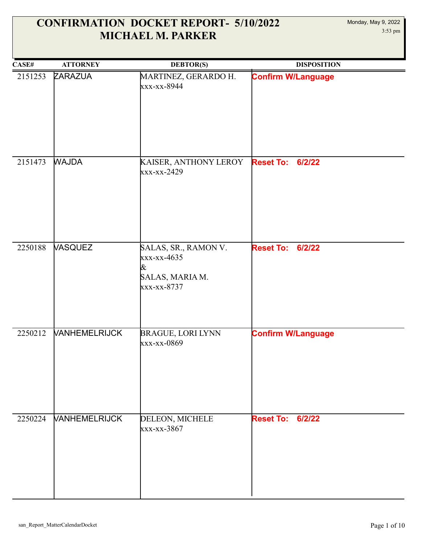| CASE#   | <b>ATTORNEY</b>             | <b>DEBTOR(S)</b>                                                           | <b>DISPOSITION</b>         |
|---------|-----------------------------|----------------------------------------------------------------------------|----------------------------|
| 2151253 | ZARAZUA                     | MARTINEZ, GERARDO H.<br>xxx-xx-8944                                        | <b>Confirm W/Language</b>  |
| 2151473 | <b>WAJDA</b>                | KAISER, ANTHONY LEROY<br>xxx-xx-2429                                       | <b>Reset To:</b><br>6/2/22 |
| 2250188 | <b>VASQUEZ</b>              | SALAS, SR., RAMON V.<br>xxx-xx-4635<br>&<br>SALAS, MARIA M.<br>xxx-xx-8737 | <b>Reset To:</b><br>6/2/22 |
| 2250212 | <b>VANHEMELRIJCK</b>        | <b>BRAGUE, LORI LYNN</b><br>xxx-xx-0869                                    | <b>Confirm W/Language</b>  |
| 2250224 | <b><i>VANHEMELRIJCK</i></b> | DELEON, MICHELE<br>xxx-xx-3867                                             | <b>Reset To: 6/2/22</b>    |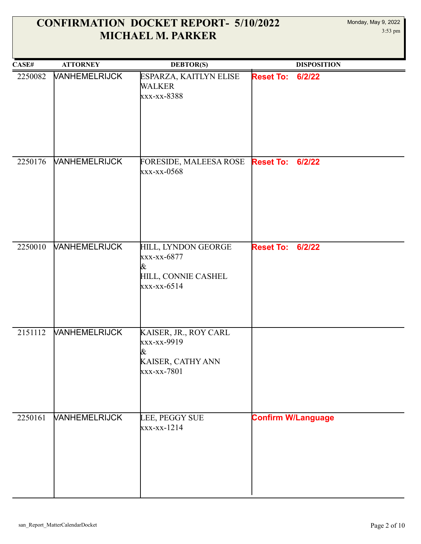| CASE#   | <b>ATTORNEY</b>             | <b>DEBTOR(S)</b>                                                                | <b>DISPOSITION</b>         |
|---------|-----------------------------|---------------------------------------------------------------------------------|----------------------------|
| 2250082 | <b>VANHEMELRIJCK</b>        | ESPARZA, KAITLYN ELISE<br><b>WALKER</b><br>xxx-xx-8388                          | <b>Reset To:</b><br>6/2/22 |
| 2250176 | <b><i>NANHEMELRIJCK</i></b> | FORESIDE, MALEESA ROSE<br>xxx-xx-0568                                           | 6/2/22<br><b>Reset To:</b> |
| 2250010 | <b>VANHEMELRIJCK</b>        | HILL, LYNDON GEORGE<br>xxx-xx-6877<br>&<br>HILL, CONNIE CASHEL<br>$xxx-xx-6514$ | <b>Reset To:</b><br>6/2/22 |
| 2151112 | <b><i>VANHEMELRIJCK</i></b> | KAISER, JR., ROY CARL<br>xxx-xx-9919<br>&<br>KAISER, CATHY ANN<br>xxx-xx-7801   |                            |
| 2250161 | <b>VANHEMELRIJCK</b>        | LEE, PEGGY SUE<br>xxx-xx-1214                                                   | <b>Confirm W/Language</b>  |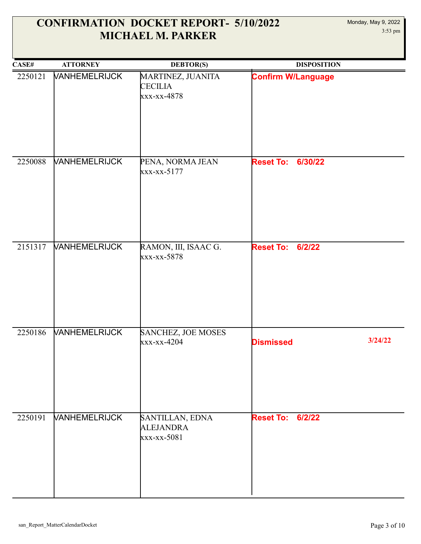| CASE#   | <b>ATTORNEY</b>             | <b>DEBTOR(S)</b>                                   | <b>DISPOSITION</b>          |
|---------|-----------------------------|----------------------------------------------------|-----------------------------|
| 2250121 | <b>VANHEMELRIJCK</b>        | MARTINEZ, JUANITA<br><b>CECILIA</b><br>xxx-xx-4878 | <b>Confirm W/Language</b>   |
| 2250088 | <b>VANHEMELRIJCK</b>        | PENA, NORMA JEAN<br>xxx-xx-5177                    | <b>Reset To: 6/30/22</b>    |
| 2151317 | <b>VANHEMELRIJCK</b>        | RAMON, III, ISAAC G.<br>xxx-xx-5878                | <b>Reset To: 6/2/22</b>     |
| 2250186 | <b>VANHEMELRIJCK</b>        | SANCHEZ, JOE MOSES<br>xxx-xx-4204                  | 3/24/22<br><b>Dismissed</b> |
| 2250191 | <b><i>VANHEMELRIJCK</i></b> | SANTILLAN, EDNA<br><b>ALEJANDRA</b><br>xxx-xx-5081 | <b>Reset To: 6/2/22</b>     |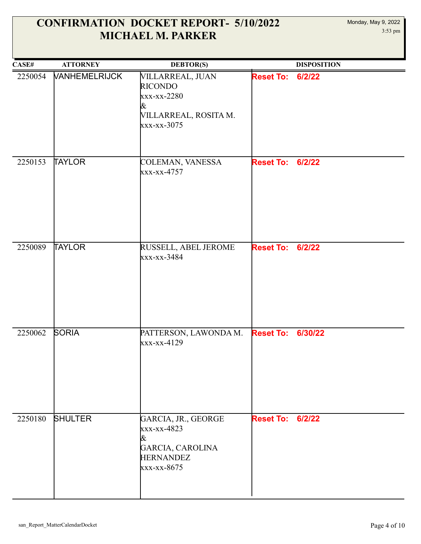| CASE#   | <b>ATTORNEY</b>      | <b>DEBTOR(S)</b>                                                                               |                         | <b>DISPOSITION</b> |
|---------|----------------------|------------------------------------------------------------------------------------------------|-------------------------|--------------------|
| 2250054 | <b>VANHEMELRIJCK</b> | VILLARREAL, JUAN<br><b>RICONDO</b><br>xxx-xx-2280<br>&<br>VILLARREAL, ROSITA M.<br>xxx-xx-3075 | <b>Reset To:</b>        | 6/2/22             |
| 2250153 | <b>TAYLOR</b>        | COLEMAN, VANESSA<br>xxx-xx-4757                                                                | <b>Reset To:</b>        | 6/2/22             |
| 2250089 | TAYLOR               | RUSSELL, ABEL JEROME<br>xxx-xx-3484                                                            | <b>Reset To: 6/2/22</b> |                    |
| 2250062 | <b>SORIA</b>         | PATTERSON, LAWONDA M.<br>xxx-xx-4129                                                           | <b>Reset To:</b>        | 6/30/22            |
| 2250180 | <b>SHULTER</b>       | GARCIA, JR., GEORGE<br>xxx-xx-4823<br>&<br>GARCIA, CAROLINA<br><b>HERNANDEZ</b><br>xxx-xx-8675 | <b>Reset To: 6/2/22</b> |                    |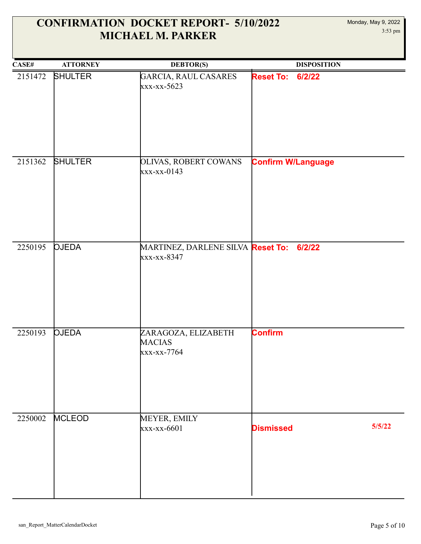| CASE#   | <b>ATTORNEY</b> | <b>DEBTOR(S)</b>                                        | <b>DISPOSITION</b>         |
|---------|-----------------|---------------------------------------------------------|----------------------------|
| 2151472 | <b>SHULTER</b>  | GARCIA, RAUL CASARES<br>xxx-xx-5623                     | <b>Reset To:</b><br>6/2/22 |
| 2151362 | SHULTER         | <b>OLIVAS, ROBERT COWANS</b><br>$xxx-xx-0143$           | <b>Confirm W/Language</b>  |
| 2250195 | <b>OJEDA</b>    | MARTINEZ, DARLENE SILVA Reset To: 6/2/22<br>xxx-xx-8347 |                            |
| 2250193 | <b>OJEDA</b>    | ZARAGOZA, ELIZABETH<br><b>MACIAS</b><br>xxx-xx-7764     | <b>Confirm</b>             |
| 2250002 | <b>MCLEOD</b>   | MEYER, EMILY<br>xxx-xx-6601                             | 5/5/22<br><b>Dismissed</b> |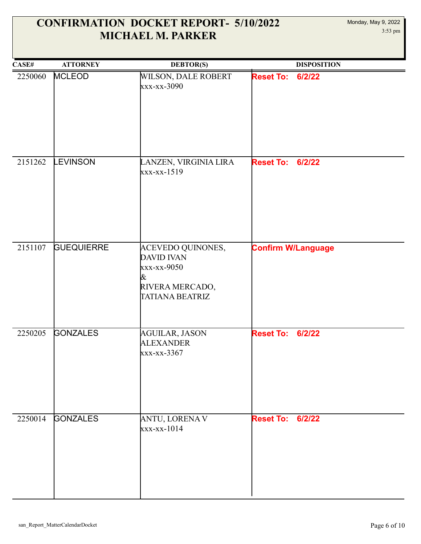| CASE#   | <b>ATTORNEY</b>   | <b>DEBTOR(S)</b>                                                                                        | <b>DISPOSITION</b>         |
|---------|-------------------|---------------------------------------------------------------------------------------------------------|----------------------------|
| 2250060 | <b>MCLEOD</b>     | WILSON, DALE ROBERT<br>xxx-xx-3090                                                                      | <b>Reset To:</b><br>6/2/22 |
| 2151262 | <b>EVINSON</b>    | LANZEN, VIRGINIA LIRA<br>xxx-xx-1519                                                                    | <b>Reset To:</b><br>6/2/22 |
| 2151107 | <b>GUEQUIERRE</b> | <b>ACEVEDO QUINONES,</b><br><b>DAVID IVAN</b><br>xxx-xx-9050<br>&<br>RIVERA MERCADO,<br>TATIANA BEATRIZ | <b>Confirm W/Language</b>  |
| 2250205 | <b>GONZALES</b>   | <b>AGUILAR, JASON</b><br><b>ALEXANDER</b><br>xxx-xx-3367                                                | 6/2/22<br><b>Reset To:</b> |
| 2250014 | <b>GONZALES</b>   | <b>ANTU, LORENA V</b><br>xxx-xx-1014                                                                    | <b>Reset To: 6/2/22</b>    |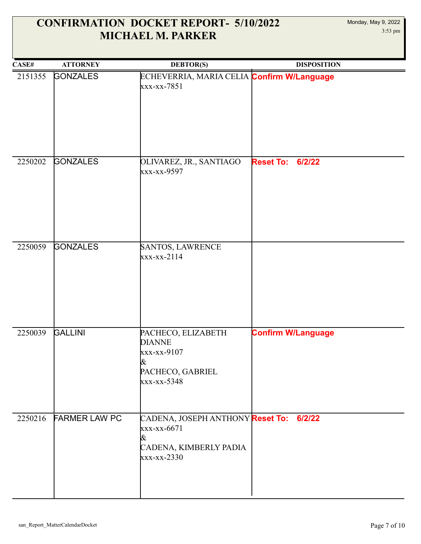| CASE#   | <b>ATTORNEY</b>      | <b>DEBTOR(S)</b>                                                                                     | <b>DISPOSITION</b>         |
|---------|----------------------|------------------------------------------------------------------------------------------------------|----------------------------|
| 2151355 | <b>GONZALES</b>      | ECHEVERRIA, MARIA CELIA Confirm W/Language<br>xxx-xx-7851                                            |                            |
| 2250202 | <b>GONZALES</b>      | OLIVAREZ, JR., SANTIAGO<br>xxx-xx-9597                                                               | <b>Reset To:</b><br>6/2/22 |
| 2250059 | <b>GONZALES</b>      | SANTOS, LAWRENCE<br>$xxx-xx-2114$                                                                    |                            |
| 2250039 | <b>GALLINI</b>       | PACHECO, ELIZABETH<br><b>DIANNE</b><br>xxx-xx-9107<br>&<br>PACHECO, GABRIEL<br>xxx-xx-5348           | <b>Confirm W/Language</b>  |
| 2250216 | <b>FARMER LAW PC</b> | CADENA, JOSEPH ANTHONY Reset To: 6/2/22<br>xxx-xx-6671<br>&<br>CADENA, KIMBERLY PADIA<br>xxx-xx-2330 |                            |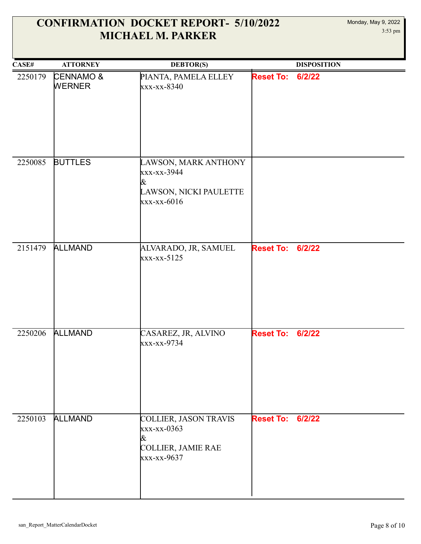| CASE#   | <b>ATTORNEY</b>                       | <b>DEBTOR(S)</b>                                                                    |                         | <b>DISPOSITION</b> |
|---------|---------------------------------------|-------------------------------------------------------------------------------------|-------------------------|--------------------|
| 2250179 | <b>CENNAMO &amp;</b><br><b>WERNER</b> | PIANTA, PAMELA ELLEY<br>xxx-xx-8340                                                 | <b>Reset To:</b>        | 6/2/22             |
| 2250085 | <b>BUTTLES</b>                        | LAWSON, MARK ANTHONY<br>xxx-xx-3944<br>&<br>LAWSON, NICKI PAULETTE<br>$xxx-xx-6016$ |                         |                    |
| 2151479 | <b>ALLMAND</b>                        | ALVARADO, JR, SAMUEL<br>xxx-xx-5125                                                 | <b>Reset To:</b>        | 6/2/22             |
| 2250206 | <b>ALLMAND</b>                        | CASAREZ, JR, ALVINO<br>xxx-xx-9734                                                  | <b>Reset To:</b>        | 6/2/22             |
| 2250103 | <b>ALLMAND</b>                        | COLLIER, JASON TRAVIS<br>xxx-xx-0363<br>&<br>COLLIER, JAMIE RAE<br>xxx-xx-9637      | <b>Reset To: 6/2/22</b> |                    |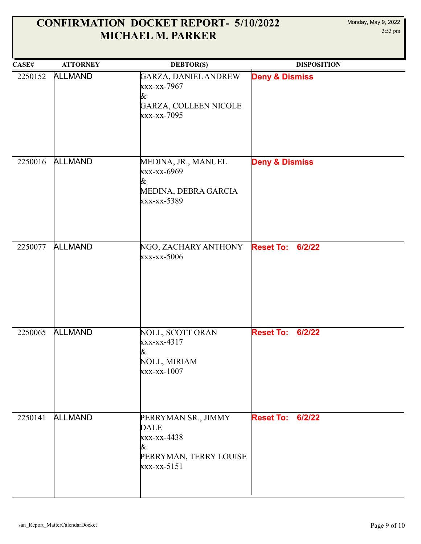| CASE#   | <b>ATTORNEY</b> | <b>DEBTOR(S)</b>                                                                                | <b>DISPOSITION</b>         |
|---------|-----------------|-------------------------------------------------------------------------------------------------|----------------------------|
| 2250152 | <b>ALLMAND</b>  | GARZA, DANIEL ANDREW<br>xxx-xx-7967<br>&<br>GARZA, COLLEEN NICOLE<br>xxx-xx-7095                | <b>Deny &amp; Dismiss</b>  |
| 2250016 | <b>ALLMAND</b>  | MEDINA, JR., MANUEL<br>xxx-xx-6969<br>&<br>MEDINA, DEBRA GARCIA<br>xxx-xx-5389                  | <b>Deny &amp; Dismiss</b>  |
| 2250077 | <b>ALLMAND</b>  | NGO, ZACHARY ANTHONY<br>xxx-xx-5006                                                             | <b>Reset To:</b><br>6/2/22 |
| 2250065 | <b>ALLMAND</b>  | NOLL, SCOTT ORAN<br>xxx-xx-4317<br>&<br>NOLL, MIRIAM<br>$xxx-xx-1007$                           | <b>Reset To:</b><br>6/2/22 |
| 2250141 | <b>ALLMAND</b>  | PERRYMAN SR., JIMMY<br><b>DALE</b><br>xxx-xx-4438<br>&<br>PERRYMAN, TERRY LOUISE<br>xxx-xx-5151 | 6/2/22<br><b>Reset To:</b> |